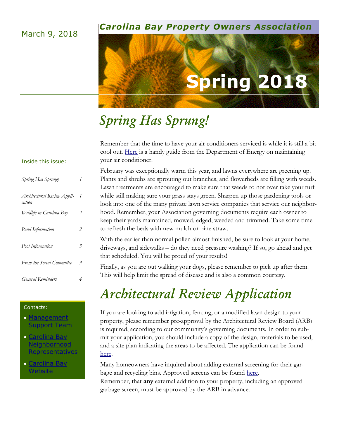## March 9, 2018

## *Carolina Bay Property Owners Association*

# **Spring 201**

# *Spring Has Sprung!*

Remember that the time to have your air conditioners serviced is while it is still a bit cool out. [Here](https://energy.gov/energysaver/maintaining-your-air-conditioner) is a handy guide from the Department of Energy on maintaining your air conditioner.

February was exceptionally warm this year, and lawns everywhere are greening up. Plants and shrubs are sprouting out branches, and flowerbeds are filling with weeds. Lawn treatments are encouraged to make sure that weeds to not over take your turf while still making sure your grass stays green. Sharpen up those gardening tools or look into one of the many private lawn service companies that service our neighborhood. Remember, your Association governing documents require each owner to keep their yards maintained, mowed, edged, weeded and trimmed. Take some time to refresh the beds with new mulch or pine straw.

With the earlier than normal pollen almost finished, be sure to look at your home, driveways, and sidewalks – do they need pressure washing? If so, go ahead and get that scheduled. You will be proud of your results!

Finally, as you are out walking your dogs, please remember to pick up after them! This will help limit the spread of disease and is also a common courtesy.

# *Architectural Review Application*

If you are looking to add irrigation, fencing, or a modified lawn design to your property, please remember pre-approval by the Architectural Review Board (ARB) is required, according to our community's governing documents. In order to submit your application, you should include a copy of the design, materials to be used, and a site plan indicating the areas to be affected. The application can be found [here.](http://cmgcharleston.com/Carolina%20Bay%20Docs/CarolinaBay/Carolina%20Bay%20ARB%20Form.pdf?x44830) 

Many homeowners have inquired about adding external screening for their garbage and recycling bins. Approved screens can be found [here.](http://cmgcharleston.com/Carolina%20Bay%20Docs/CarolinaBay/Approved%20Trash%20Screen%20Examples.pdf?x44830)

Remember, that **any** external addition to your property, including an approved garbage screen, must be approved by the ARB in advance.

## Inside this issue:

| Spring Has Sprung!                    | 1                        |
|---------------------------------------|--------------------------|
| Architectural Review Appli-<br>cation | 1                        |
| Wildlife in Carolina Bay              | 2                        |
| Pond Information                      | 2                        |
| Pool Information                      | 3                        |
| From the Social Committee             | 3                        |
| <i>General</i> Reminders              | $\overline{\mathcal{A}}$ |

#### Contacts:

- **Management** [Support Team](mailto:CarolinaBay@cmgcharleston.com)
- [Carolina Bay](mailto:CBReps@cmgcharleston.com)  **Neighborhood** [Representatives](mailto:CBReps@cmgcharleston.com)
- [Carolina Bay](http://cmgcharleston.com/carolina-bay/)  [Website](http://cmgcharleston.com/carolina-bay/)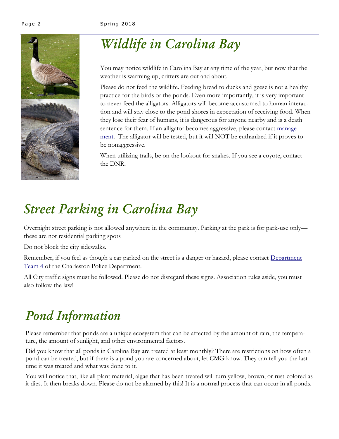

# *Wildlife in Carolina Bay*

You may notice wildlife in Carolina Bay at any time of the year, but now that the weather is warming up, critters are out and about.

Please do not feed the wildlife. Feeding bread to ducks and geese is not a healthy practice for the birds or the ponds. Even more importantly, it is very important to never feed the alligators. Alligators will become accustomed to human interaction and will stay close to the pond shores in expectation of receiving food. When they lose their fear of humans, it is dangerous for anyone nearby and is a death sentence for them. If an alligator becomes aggressive, please contact [manage](mailto:CarolinaBay@cmgcharleston.com)[ment.](mailto:CarolinaBay@cmgcharleston.com) The alligator will be tested, but it will NOT be euthanized if it proves to be nonaggressive.

When utilizing trails, be on the lookout for snakes. If you see a coyote, contact the DNR.

# *Street Parking in Carolina Bay*

Overnight street parking is not allowed anywhere in the community. Parking at the park is for park-use only these are not residential parking spots

Do not block the city sidewalks.

Remember, if you feel as though a car parked on the street is a danger or hazard, please contact Department [Team 4](http://www.charleston-sc.gov/index.aspx?NID=313) of the Charleston Police Department.

All City traffic signs must be followed. Please do not disregard these signs. Association rules aside, you must also follow the law!

# *Pond Information*

Please remember that ponds are a unique ecosystem that can be affected by the amount of rain, the temperature, the amount of sunlight, and other environmental factors.

Did you know that all ponds in Carolina Bay are treated at least monthly? There are restrictions on how often a pond can be treated, but if there is a pond you are concerned about, let CMG know. They can tell you the last time it was treated and what was done to it.

You will notice that, like all plant material, algae that has been treated will turn yellow, brown, or rust-colored as it dies. It then breaks down. Please do not be alarmed by this! It is a normal process that can occur in all ponds.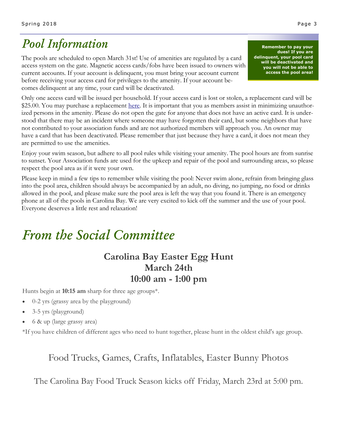# *Pool Information*

The pools are scheduled to open March 31st! Use of amenities are regulated by a card access system on the gate. Magnetic access cards/fobs have been issued to owners with current accounts. If your account is delinquent, you must bring your account current before receiving your access card for privileges to the amenity. If your account becomes delinquent at any time, your card will be deactivated.

**Remember to pay your dues! If you are delinquent, your pool card will be deactivated and you will not be able to access the pool area!**

Only one access card will be issued per household. If your access card is lost or stolen, a replacement card will be \$25.00. You may purchase a replacement <u>here</u>. It is important that you as members assist in minimizing unauthorized persons in the amenity. Please do not open the gate for anyone that does not have an active card. It is understood that there may be an incident where someone may have forgotten their card, but some neighbors that have not contributed to your association funds and are not authorized members will approach you. An owner may have a card that has been deactivated. Please remember that just because they have a card, it does not mean they are permitted to use the amenities.

Enjoy your swim season, but adhere to all pool rules while visiting your amenity. The pool hours are from sunrise to sunset. Your Association funds are used for the upkeep and repair of the pool and surrounding areas, so please respect the pool area as if it were your own.

Please keep in mind a few tips to remember while visiting the pool: Never swim alone, refrain from bringing glass into the pool area, children should always be accompanied by an adult, no diving, no jumping, no food or drinks allowed in the pool, and please make sure the pool area is left the way that you found it. There is an emergency phone at all of the pools in Carolina Bay. We are very excited to kick off the summer and the use of your pool. Everyone deserves a little rest and relaxation!

# *From the Social Committee*

## **Carolina Bay Easter Egg Hunt March 24th 10:00 am - 1:00 pm**

Hunts begin at **10:15 am** sharp for three age groups\*.

- 0-2 yrs (grassy area by the playground)
- 3-5 yrs (playground)
- 6 & up (large grassy area)

\*If you have children of different ages who need to hunt together, please hunt in the oldest child's age group.

## Food Trucks, Games, Crafts, Inflatables, Easter Bunny Photos

The Carolina Bay Food Truck Season kicks off Friday, March 23rd at 5:00 pm.